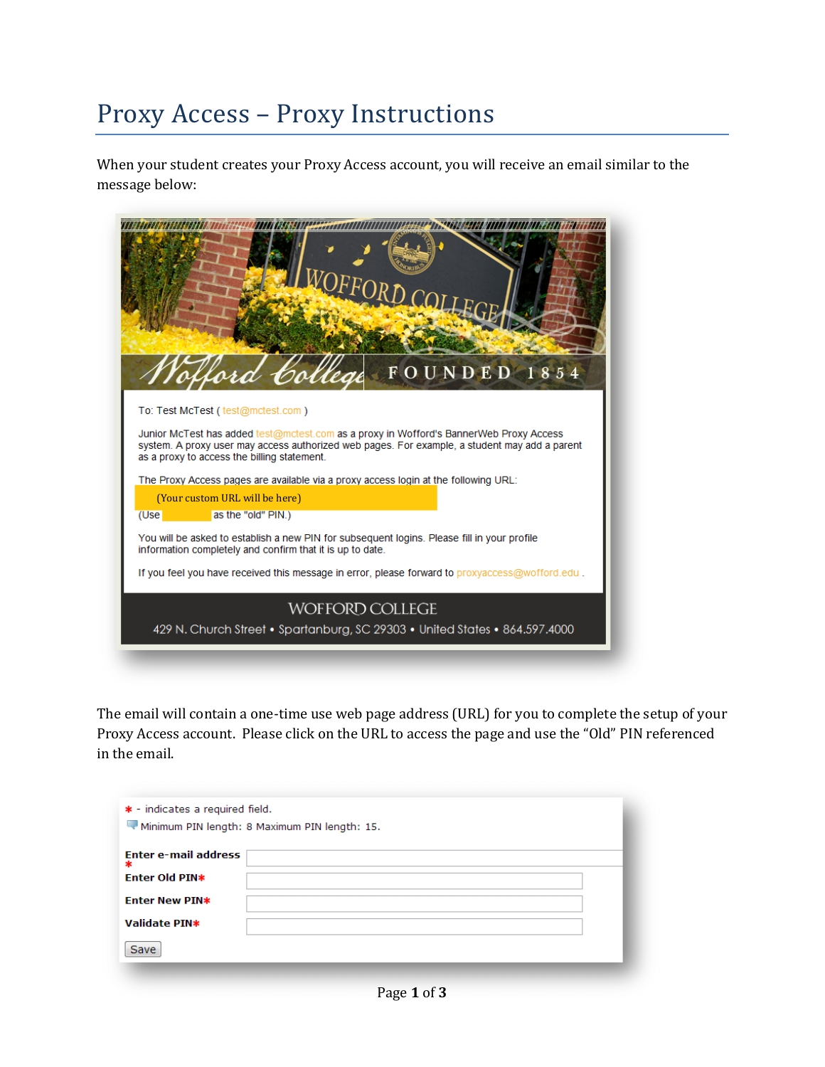## Proxy Access – Proxy Instructions

When your student creates your Proxy Access account, you will receive an email similar to the message below:



The email will contain a one-time use web page address (URL) for you to complete the setup of your Proxy Access account. Please click on the URL to access the page and use the "Old" PIN referenced in the email.

| * - indicates a required field.<br>Minimum PIN length: 8 Maximum PIN length: 15. |  |  |  |  |
|----------------------------------------------------------------------------------|--|--|--|--|
| <b>Enter e-mail address</b><br>$\ast$                                            |  |  |  |  |
| Enter Old PIN*                                                                   |  |  |  |  |
| <b>Enter New PIN*</b>                                                            |  |  |  |  |
| Validate PIN*                                                                    |  |  |  |  |
| Save                                                                             |  |  |  |  |
|                                                                                  |  |  |  |  |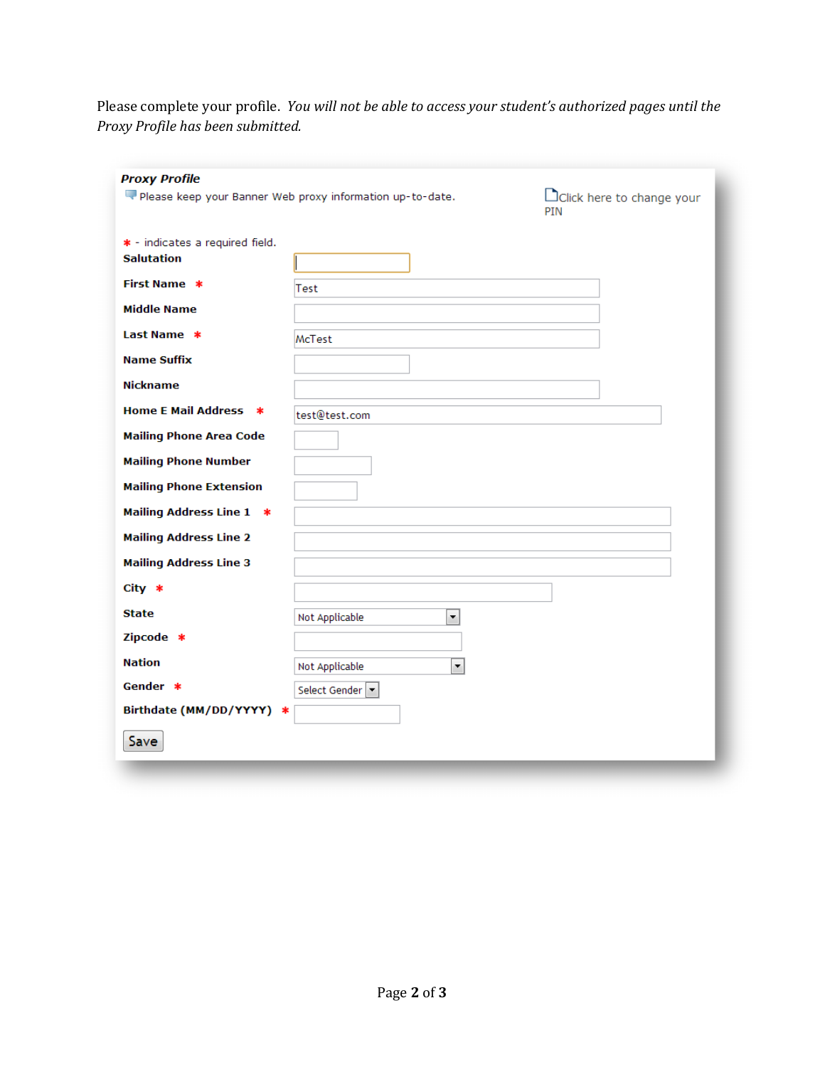Please complete your profile. *You will not be able to access your student's authorized pages until the Proxy Profile has been submitted.*

| <b>Proxy Profile</b>                      |                                                           |                                   |
|-------------------------------------------|-----------------------------------------------------------|-----------------------------------|
|                                           | Please keep your Banner Web proxy information up-to-date. | DClick here to change your<br>PIN |
| * - indicates a required field.           |                                                           |                                   |
| <b>Salutation</b>                         |                                                           |                                   |
| <b>First Name *</b>                       | Test                                                      |                                   |
| <b>Middle Name</b>                        |                                                           |                                   |
| Last Name *                               | McTest                                                    |                                   |
| <b>Name Suffix</b>                        |                                                           |                                   |
| <b>Nickname</b>                           |                                                           |                                   |
| <b>Home E Mail Address *</b>              | test@test.com                                             |                                   |
| <b>Mailing Phone Area Code</b>            |                                                           |                                   |
| <b>Mailing Phone Number</b>               |                                                           |                                   |
| <b>Mailing Phone Extension</b>            |                                                           |                                   |
| Mailing Address Line 1 *                  |                                                           |                                   |
| <b>Mailing Address Line 2</b>             |                                                           |                                   |
| <b>Mailing Address Line 3</b><br>$City *$ |                                                           |                                   |
| <b>State</b>                              |                                                           |                                   |
| Zipcode *                                 | $\overline{\phantom{0}}$<br>Not Applicable                |                                   |
| <b>Nation</b>                             | $\overline{\phantom{0}}$<br>Not Applicable                |                                   |
| Gender *                                  | Select Gender v                                           |                                   |
| Birthdate (MM/DD/YYYY) *                  |                                                           |                                   |
| Save                                      |                                                           |                                   |
|                                           |                                                           |                                   |